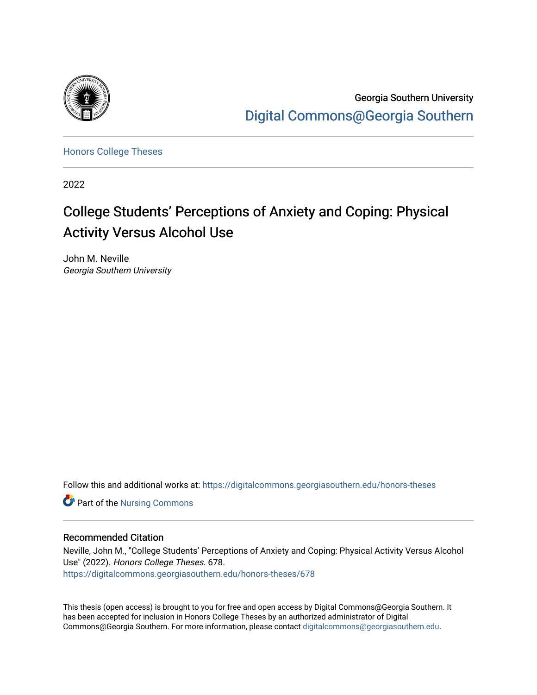

Georgia Southern University [Digital Commons@Georgia Southern](https://digitalcommons.georgiasouthern.edu/) 

[Honors College Theses](https://digitalcommons.georgiasouthern.edu/honors-theses) 

2022

# College Students' Perceptions of Anxiety and Coping: Physical Activity Versus Alcohol Use

John M. Neville Georgia Southern University

Follow this and additional works at: [https://digitalcommons.georgiasouthern.edu/honors-theses](https://digitalcommons.georgiasouthern.edu/honors-theses?utm_source=digitalcommons.georgiasouthern.edu%2Fhonors-theses%2F678&utm_medium=PDF&utm_campaign=PDFCoverPages)

Part of the [Nursing Commons](http://network.bepress.com/hgg/discipline/718?utm_source=digitalcommons.georgiasouthern.edu%2Fhonors-theses%2F678&utm_medium=PDF&utm_campaign=PDFCoverPages) 

## Recommended Citation

Neville, John M., "College Students' Perceptions of Anxiety and Coping: Physical Activity Versus Alcohol Use" (2022). Honors College Theses. 678. [https://digitalcommons.georgiasouthern.edu/honors-theses/678](https://digitalcommons.georgiasouthern.edu/honors-theses/678?utm_source=digitalcommons.georgiasouthern.edu%2Fhonors-theses%2F678&utm_medium=PDF&utm_campaign=PDFCoverPages)

This thesis (open access) is brought to you for free and open access by Digital Commons@Georgia Southern. It has been accepted for inclusion in Honors College Theses by an authorized administrator of Digital Commons@Georgia Southern. For more information, please contact [digitalcommons@georgiasouthern.edu](mailto:digitalcommons@georgiasouthern.edu).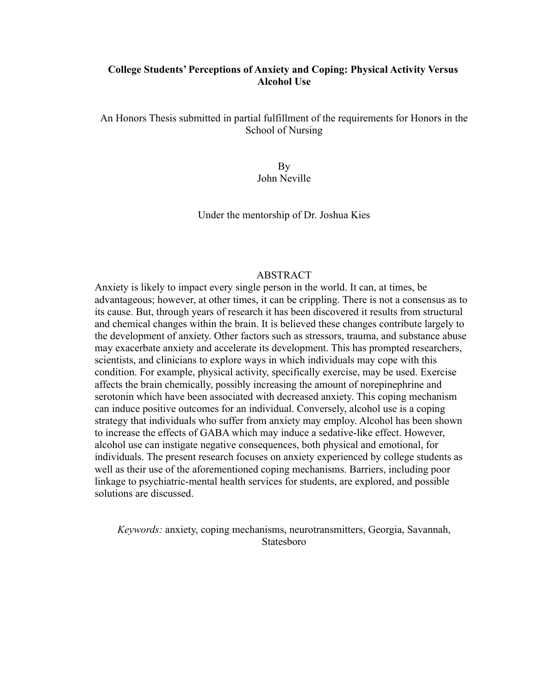## **College Students' Perceptions of Anxiety and Coping: Physical Activity Versus Alcohol Use**

An Honors Thesis submitted in partial fulfillment of the requirements for Honors in the School of Nursing

> By John Neville

Under the mentorship of Dr. Joshua Kies

## ABSTRACT

Anxiety is likely to impact every single person in the world. It can, at times, be advantageous; however, at other times, it can be crippling. There is not a consensus as to its cause. But, through years of research it has been discovered it results from structural and chemical changes within the brain. It is believed these changes contribute largely to the development of anxiety. Other factors such as stressors, trauma, and substance abuse may exacerbate anxiety and accelerate its development. This has prompted researchers, scientists, and clinicians to explore ways in which individuals may cope with this condition. For example, physical activity, specifically exercise, may be used. Exercise affects the brain chemically, possibly increasing the amount of norepinephrine and serotonin which have been associated with decreased anxiety. This coping mechanism can induce positive outcomes for an individual. Conversely, alcohol use is a coping strategy that individuals who suffer from anxiety may employ. Alcohol has been shown to increase the effects of GABA which may induce a sedative-like effect. However, alcohol use can instigate negative consequences, both physical and emotional, for individuals. The present research focuses on anxiety experienced by college students as well as their use of the aforementioned coping mechanisms. Barriers, including poor linkage to psychiatric-mental health services for students, are explored, and possible solutions are discussed.

*Keywords:* anxiety, coping mechanisms, neurotransmitters, Georgia, Savannah, Statesboro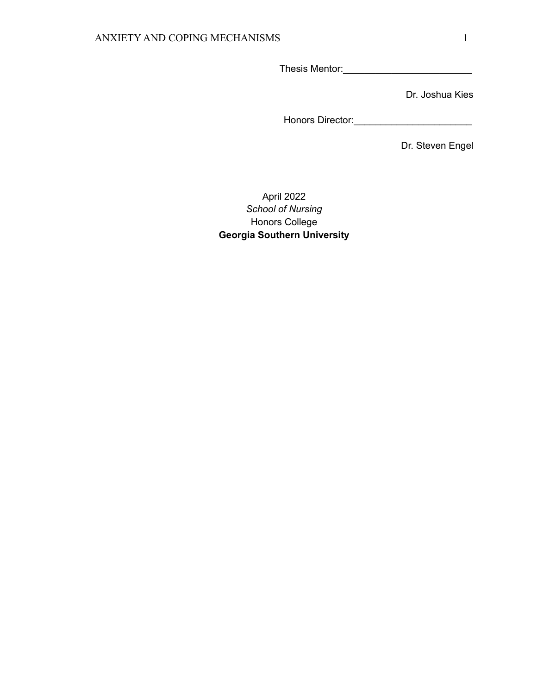Thesis Mentor:\_\_\_\_\_\_\_\_\_\_\_\_\_\_\_\_\_\_\_\_\_\_\_\_

Dr. Joshua Kies

Honors Director:\_\_\_\_\_\_\_\_\_\_\_\_\_\_\_\_\_\_\_\_\_\_

Dr. Steven Engel

# April 2022 *School of Nursing* Honors College **Georgia Southern University**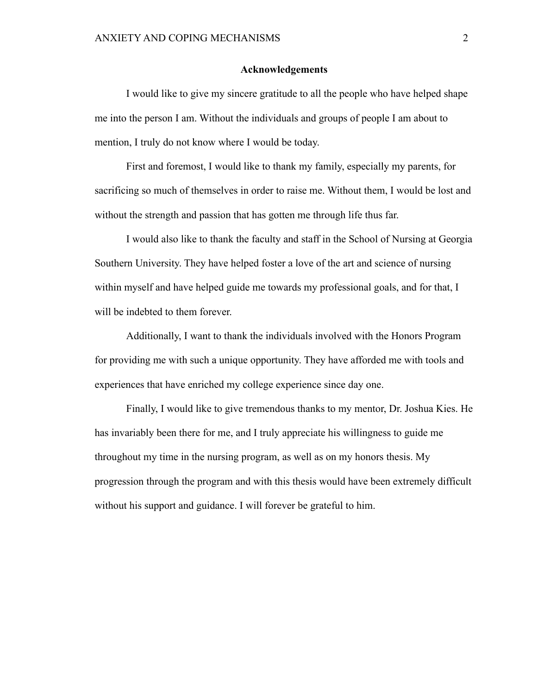## **Acknowledgements**

I would like to give my sincere gratitude to all the people who have helped shape me into the person I am. Without the individuals and groups of people I am about to mention, I truly do not know where I would be today.

First and foremost, I would like to thank my family, especially my parents, for sacrificing so much of themselves in order to raise me. Without them, I would be lost and without the strength and passion that has gotten me through life thus far.

I would also like to thank the faculty and staff in the School of Nursing at Georgia Southern University. They have helped foster a love of the art and science of nursing within myself and have helped guide me towards my professional goals, and for that, I will be indebted to them forever.

Additionally, I want to thank the individuals involved with the Honors Program for providing me with such a unique opportunity. They have afforded me with tools and experiences that have enriched my college experience since day one.

Finally, I would like to give tremendous thanks to my mentor, Dr. Joshua Kies. He has invariably been there for me, and I truly appreciate his willingness to guide me throughout my time in the nursing program, as well as on my honors thesis. My progression through the program and with this thesis would have been extremely difficult without his support and guidance. I will forever be grateful to him.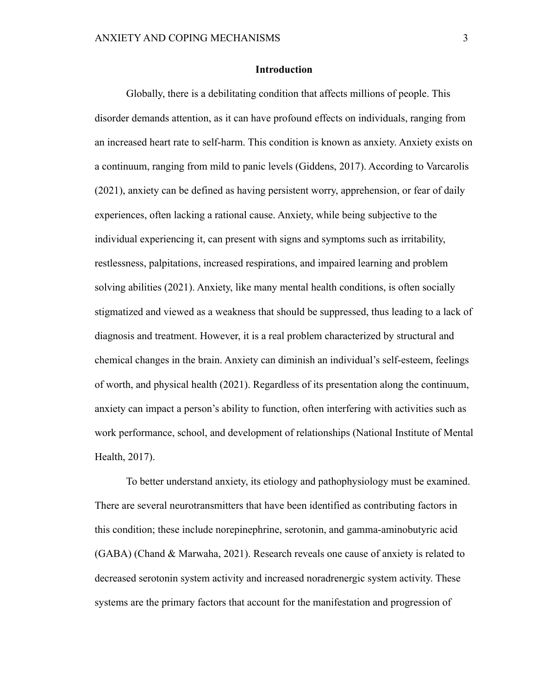## **Introduction**

Globally, there is a debilitating condition that affects millions of people. This disorder demands attention, as it can have profound effects on individuals, ranging from an increased heart rate to self-harm. This condition is known as anxiety. Anxiety exists on a continuum, ranging from mild to panic levels (Giddens, 2017). According to Varcarolis (2021), anxiety can be defined as having persistent worry, apprehension, or fear of daily experiences, often lacking a rational cause. Anxiety, while being subjective to the individual experiencing it, can present with signs and symptoms such as irritability, restlessness, palpitations, increased respirations, and impaired learning and problem solving abilities (2021). Anxiety, like many mental health conditions, is often socially stigmatized and viewed as a weakness that should be suppressed, thus leading to a lack of diagnosis and treatment. However, it is a real problem characterized by structural and chemical changes in the brain. Anxiety can diminish an individual's self-esteem, feelings of worth, and physical health (2021). Regardless of its presentation along the continuum, anxiety can impact a person's ability to function, often interfering with activities such as work performance, school, and development of relationships (National Institute of Mental Health, 2017).

To better understand anxiety, its etiology and pathophysiology must be examined. There are several neurotransmitters that have been identified as contributing factors in this condition; these include norepinephrine, serotonin, and gamma-aminobutyric acid (GABA) (Chand & Marwaha, 2021). Research reveals one cause of anxiety is related to decreased serotonin system activity and increased noradrenergic system activity. These systems are the primary factors that account for the manifestation and progression of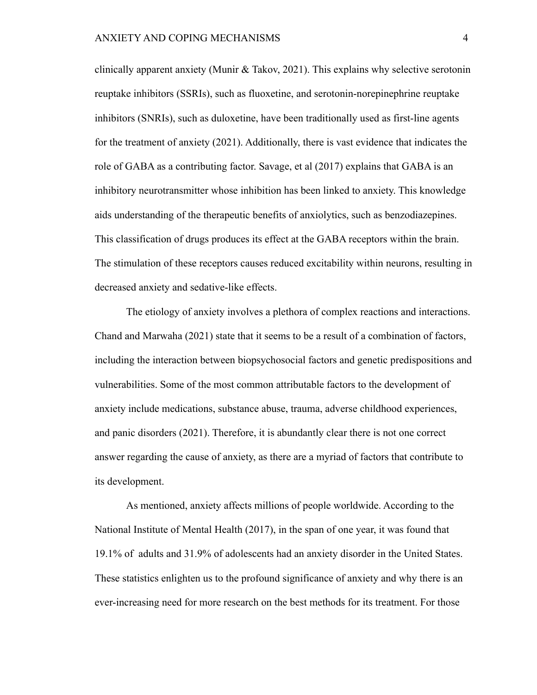clinically apparent anxiety (Munir & Takov, 2021). This explains why selective serotonin reuptake inhibitors (SSRIs), such as fluoxetine, and serotonin-norepinephrine reuptake inhibitors (SNRIs), such as duloxetine, have been traditionally used as first-line agents for the treatment of anxiety (2021). Additionally, there is vast evidence that indicates the role of GABA as a contributing factor. Savage, et al (2017) explains that GABA is an inhibitory neurotransmitter whose inhibition has been linked to anxiety. This knowledge aids understanding of the therapeutic benefits of anxiolytics, such as benzodiazepines. This classification of drugs produces its effect at the GABA receptors within the brain. The stimulation of these receptors causes reduced excitability within neurons, resulting in decreased anxiety and sedative-like effects.

The etiology of anxiety involves a plethora of complex reactions and interactions. Chand and Marwaha (2021) state that it seems to be a result of a combination of factors, including the interaction between biopsychosocial factors and genetic predispositions and vulnerabilities. Some of the most common attributable factors to the development of anxiety include medications, substance abuse, trauma, adverse childhood experiences, and panic disorders (2021). Therefore, it is abundantly clear there is not one correct answer regarding the cause of anxiety, as there are a myriad of factors that contribute to its development.

As mentioned, anxiety affects millions of people worldwide. According to the National Institute of Mental Health (2017), in the span of one year, it was found that 19.1% of adults and 31.9% of adolescents had an anxiety disorder in the United States. These statistics enlighten us to the profound significance of anxiety and why there is an ever-increasing need for more research on the best methods for its treatment. For those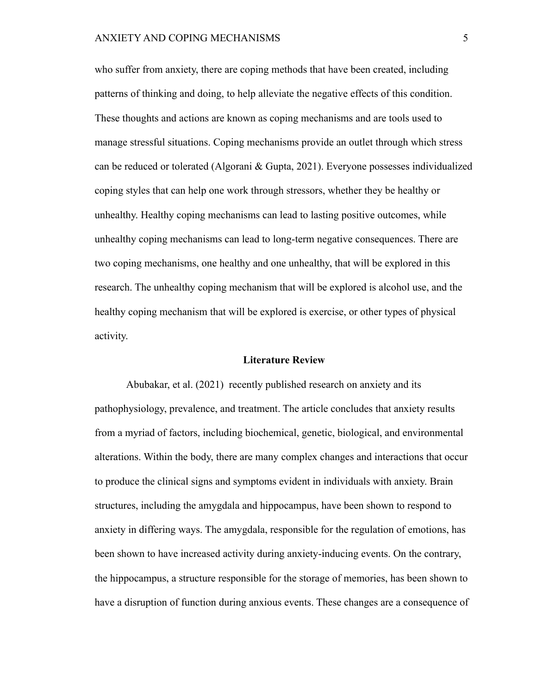## ANXIETY AND COPING MECHANISMS 5

who suffer from anxiety, there are coping methods that have been created, including patterns of thinking and doing, to help alleviate the negative effects of this condition. These thoughts and actions are known as coping mechanisms and are tools used to manage stressful situations. Coping mechanisms provide an outlet through which stress can be reduced or tolerated (Algorani & Gupta, 2021). Everyone possesses individualized coping styles that can help one work through stressors, whether they be healthy or unhealthy. Healthy coping mechanisms can lead to lasting positive outcomes, while unhealthy coping mechanisms can lead to long-term negative consequences. There are two coping mechanisms, one healthy and one unhealthy, that will be explored in this research. The unhealthy coping mechanism that will be explored is alcohol use, and the healthy coping mechanism that will be explored is exercise, or other types of physical activity.

#### **Literature Review**

Abubakar, et al. (2021) recently published research on anxiety and its pathophysiology, prevalence, and treatment. The article concludes that anxiety results from a myriad of factors, including biochemical, genetic, biological, and environmental alterations. Within the body, there are many complex changes and interactions that occur to produce the clinical signs and symptoms evident in individuals with anxiety. Brain structures, including the amygdala and hippocampus, have been shown to respond to anxiety in differing ways. The amygdala, responsible for the regulation of emotions, has been shown to have increased activity during anxiety-inducing events. On the contrary, the hippocampus, a structure responsible for the storage of memories, has been shown to have a disruption of function during anxious events. These changes are a consequence of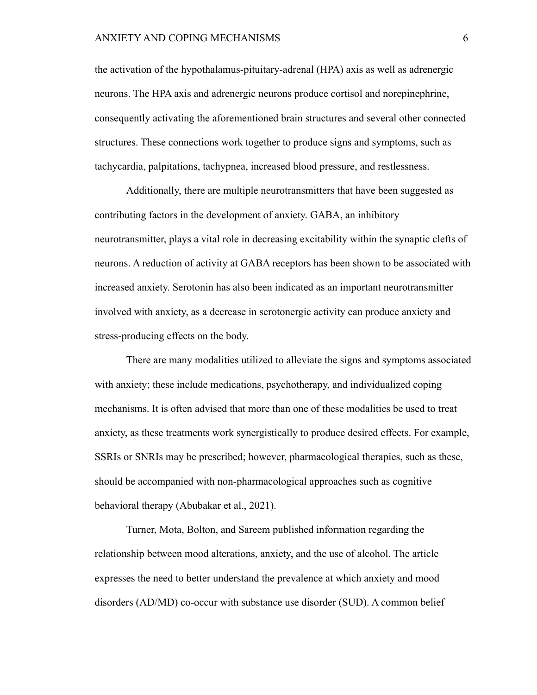### ANXIETY AND COPING MECHANISMS 6

the activation of the hypothalamus-pituitary-adrenal (HPA) axis as well as adrenergic neurons. The HPA axis and adrenergic neurons produce cortisol and norepinephrine, consequently activating the aforementioned brain structures and several other connected structures. These connections work together to produce signs and symptoms, such as tachycardia, palpitations, tachypnea, increased blood pressure, and restlessness.

Additionally, there are multiple neurotransmitters that have been suggested as contributing factors in the development of anxiety. GABA, an inhibitory neurotransmitter, plays a vital role in decreasing excitability within the synaptic clefts of neurons. A reduction of activity at GABA receptors has been shown to be associated with increased anxiety. Serotonin has also been indicated as an important neurotransmitter involved with anxiety, as a decrease in serotonergic activity can produce anxiety and stress-producing effects on the body.

There are many modalities utilized to alleviate the signs and symptoms associated with anxiety; these include medications, psychotherapy, and individualized coping mechanisms. It is often advised that more than one of these modalities be used to treat anxiety, as these treatments work synergistically to produce desired effects. For example, SSRIs or SNRIs may be prescribed; however, pharmacological therapies, such as these, should be accompanied with non-pharmacological approaches such as cognitive behavioral therapy (Abubakar et al., 2021).

Turner, Mota, Bolton, and Sareem published information regarding the relationship between mood alterations, anxiety, and the use of alcohol. The article expresses the need to better understand the prevalence at which anxiety and mood disorders (AD/MD) co-occur with substance use disorder (SUD). A common belief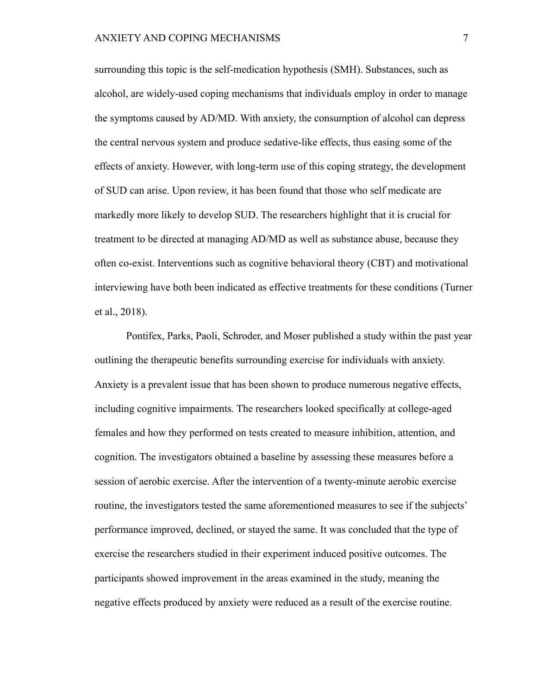surrounding this topic is the self-medication hypothesis (SMH). Substances, such as alcohol, are widely-used coping mechanisms that individuals employ in order to manage the symptoms caused by AD/MD. With anxiety, the consumption of alcohol can depress the central nervous system and produce sedative-like effects, thus easing some of the effects of anxiety. However, with long-term use of this coping strategy, the development of SUD can arise. Upon review, it has been found that those who self medicate are markedly more likely to develop SUD. The researchers highlight that it is crucial for treatment to be directed at managing AD/MD as well as substance abuse, because they often co-exist. Interventions such as cognitive behavioral theory (CBT) and motivational interviewing have both been indicated as effective treatments for these conditions (Turner et al., 2018).

Pontifex, Parks, Paoli, Schroder, and Moser published a study within the past year outlining the therapeutic benefits surrounding exercise for individuals with anxiety. Anxiety is a prevalent issue that has been shown to produce numerous negative effects, including cognitive impairments. The researchers looked specifically at college-aged females and how they performed on tests created to measure inhibition, attention, and cognition. The investigators obtained a baseline by assessing these measures before a session of aerobic exercise. After the intervention of a twenty-minute aerobic exercise routine, the investigators tested the same aforementioned measures to see if the subjects' performance improved, declined, or stayed the same. It was concluded that the type of exercise the researchers studied in their experiment induced positive outcomes. The participants showed improvement in the areas examined in the study, meaning the negative effects produced by anxiety were reduced as a result of the exercise routine.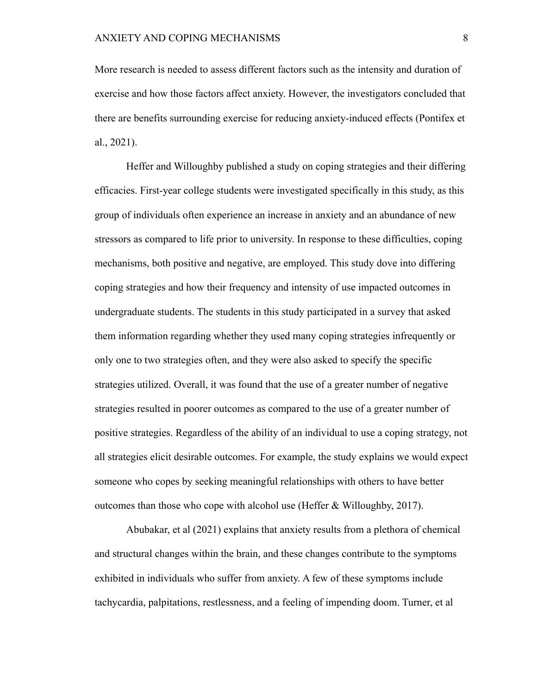More research is needed to assess different factors such as the intensity and duration of exercise and how those factors affect anxiety. However, the investigators concluded that there are benefits surrounding exercise for reducing anxiety-induced effects (Pontifex et al., 2021).

Heffer and Willoughby published a study on coping strategies and their differing efficacies. First-year college students were investigated specifically in this study, as this group of individuals often experience an increase in anxiety and an abundance of new stressors as compared to life prior to university. In response to these difficulties, coping mechanisms, both positive and negative, are employed. This study dove into differing coping strategies and how their frequency and intensity of use impacted outcomes in undergraduate students. The students in this study participated in a survey that asked them information regarding whether they used many coping strategies infrequently or only one to two strategies often, and they were also asked to specify the specific strategies utilized. Overall, it was found that the use of a greater number of negative strategies resulted in poorer outcomes as compared to the use of a greater number of positive strategies. Regardless of the ability of an individual to use a coping strategy, not all strategies elicit desirable outcomes. For example, the study explains we would expect someone who copes by seeking meaningful relationships with others to have better outcomes than those who cope with alcohol use (Heffer & Willoughby, 2017).

Abubakar, et al (2021) explains that anxiety results from a plethora of chemical and structural changes within the brain, and these changes contribute to the symptoms exhibited in individuals who suffer from anxiety. A few of these symptoms include tachycardia, palpitations, restlessness, and a feeling of impending doom. Turner, et al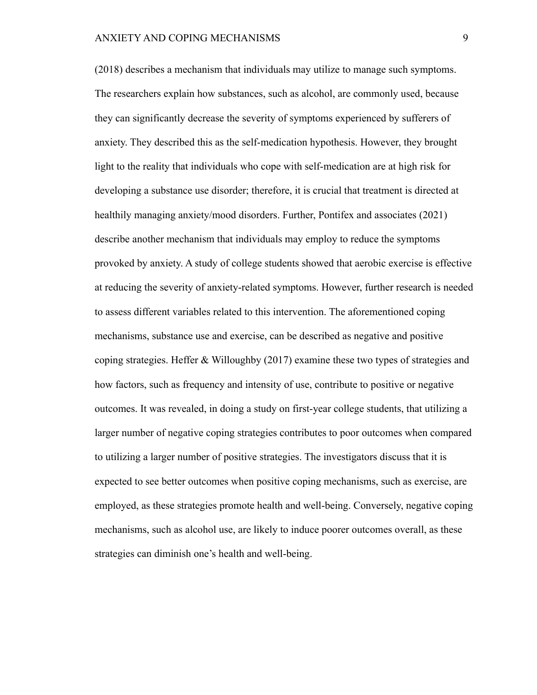(2018) describes a mechanism that individuals may utilize to manage such symptoms. The researchers explain how substances, such as alcohol, are commonly used, because they can significantly decrease the severity of symptoms experienced by sufferers of anxiety. They described this as the self-medication hypothesis. However, they brought light to the reality that individuals who cope with self-medication are at high risk for developing a substance use disorder; therefore, it is crucial that treatment is directed at healthily managing anxiety/mood disorders. Further, Pontifex and associates (2021) describe another mechanism that individuals may employ to reduce the symptoms provoked by anxiety. A study of college students showed that aerobic exercise is effective at reducing the severity of anxiety-related symptoms. However, further research is needed to assess different variables related to this intervention. The aforementioned coping mechanisms, substance use and exercise, can be described as negative and positive coping strategies. Heffer & Willoughby (2017) examine these two types of strategies and how factors, such as frequency and intensity of use, contribute to positive or negative outcomes. It was revealed, in doing a study on first-year college students, that utilizing a larger number of negative coping strategies contributes to poor outcomes when compared to utilizing a larger number of positive strategies. The investigators discuss that it is expected to see better outcomes when positive coping mechanisms, such as exercise, are employed, as these strategies promote health and well-being. Conversely, negative coping mechanisms, such as alcohol use, are likely to induce poorer outcomes overall, as these strategies can diminish one's health and well-being.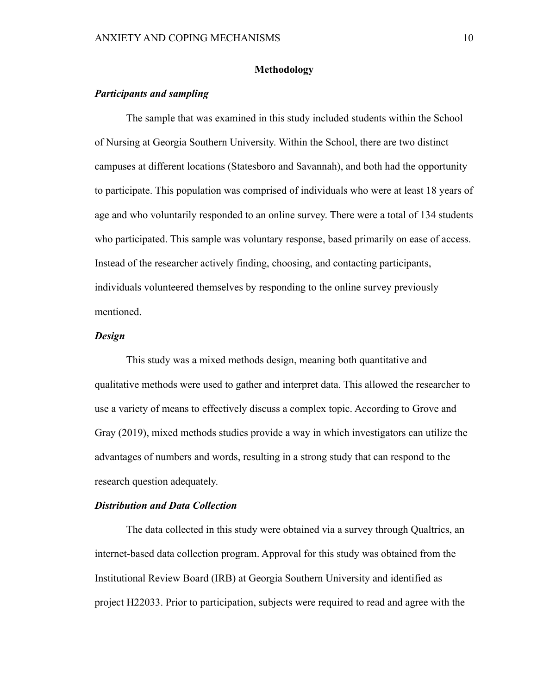## **Methodology**

## *Participants and sampling*

The sample that was examined in this study included students within the School of Nursing at Georgia Southern University. Within the School, there are two distinct campuses at different locations (Statesboro and Savannah), and both had the opportunity to participate. This population was comprised of individuals who were at least 18 years of age and who voluntarily responded to an online survey. There were a total of 134 students who participated. This sample was voluntary response, based primarily on ease of access. Instead of the researcher actively finding, choosing, and contacting participants, individuals volunteered themselves by responding to the online survey previously mentioned.

## *Design*

This study was a mixed methods design, meaning both quantitative and qualitative methods were used to gather and interpret data. This allowed the researcher to use a variety of means to effectively discuss a complex topic. According to Grove and Gray (2019), mixed methods studies provide a way in which investigators can utilize the advantages of numbers and words, resulting in a strong study that can respond to the research question adequately.

### *Distribution and Data Collection*

The data collected in this study were obtained via a survey through Qualtrics, an internet-based data collection program. Approval for this study was obtained from the Institutional Review Board (IRB) at Georgia Southern University and identified as project H22033. Prior to participation, subjects were required to read and agree with the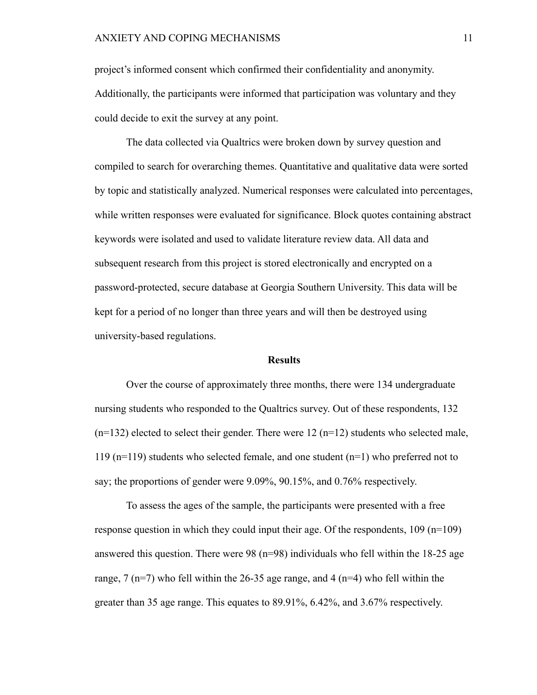project's informed consent which confirmed their confidentiality and anonymity. Additionally, the participants were informed that participation was voluntary and they could decide to exit the survey at any point.

The data collected via Qualtrics were broken down by survey question and compiled to search for overarching themes. Quantitative and qualitative data were sorted by topic and statistically analyzed. Numerical responses were calculated into percentages, while written responses were evaluated for significance. Block quotes containing abstract keywords were isolated and used to validate literature review data. All data and subsequent research from this project is stored electronically and encrypted on a password-protected, secure database at Georgia Southern University. This data will be kept for a period of no longer than three years and will then be destroyed using university-based regulations.

#### **Results**

Over the course of approximately three months, there were 134 undergraduate nursing students who responded to the Qualtrics survey. Out of these respondents, 132  $(n=132)$  elected to select their gender. There were 12  $(n=12)$  students who selected male, 119 (n=119) students who selected female, and one student (n=1) who preferred not to say; the proportions of gender were 9.09%, 90.15%, and 0.76% respectively.

To assess the ages of the sample, the participants were presented with a free response question in which they could input their age. Of the respondents, 109 (n=109) answered this question. There were  $98$  (n=98) individuals who fell within the 18-25 age range, 7 ( $n=7$ ) who fell within the 26-35 age range, and 4 ( $n=4$ ) who fell within the greater than 35 age range. This equates to 89.91%, 6.42%, and 3.67% respectively.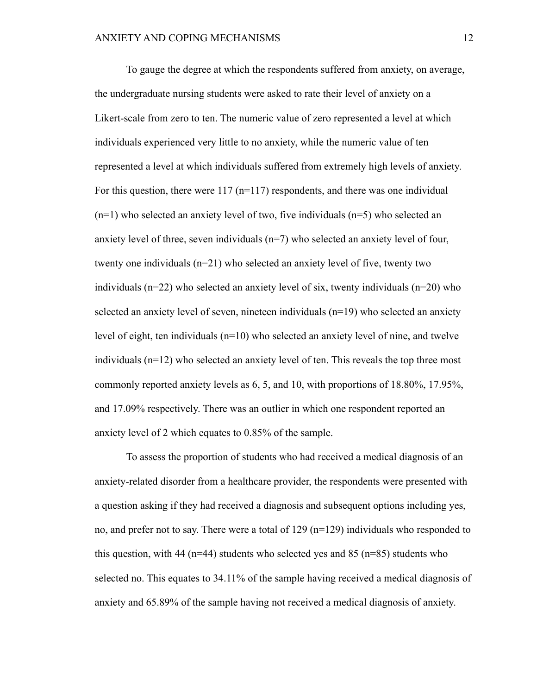To gauge the degree at which the respondents suffered from anxiety, on average, the undergraduate nursing students were asked to rate their level of anxiety on a Likert-scale from zero to ten. The numeric value of zero represented a level at which individuals experienced very little to no anxiety, while the numeric value of ten represented a level at which individuals suffered from extremely high levels of anxiety. For this question, there were  $117$  ( $n=117$ ) respondents, and there was one individual (n=1) who selected an anxiety level of two, five individuals (n=5) who selected an anxiety level of three, seven individuals  $(n=7)$  who selected an anxiety level of four, twenty one individuals (n=21) who selected an anxiety level of five, twenty two individuals (n=22) who selected an anxiety level of six, twenty individuals (n=20) who selected an anxiety level of seven, nineteen individuals (n=19) who selected an anxiety level of eight, ten individuals  $(n=10)$  who selected an anxiety level of nine, and twelve individuals (n=12) who selected an anxiety level of ten. This reveals the top three most commonly reported anxiety levels as 6, 5, and 10, with proportions of 18.80%, 17.95%, and 17.09% respectively. There was an outlier in which one respondent reported an anxiety level of 2 which equates to 0.85% of the sample.

To assess the proportion of students who had received a medical diagnosis of an anxiety-related disorder from a healthcare provider, the respondents were presented with a question asking if they had received a diagnosis and subsequent options including yes, no, and prefer not to say. There were a total of 129 (n=129) individuals who responded to this question, with 44 ( $n=44$ ) students who selected yes and 85 ( $n=85$ ) students who selected no. This equates to 34.11% of the sample having received a medical diagnosis of anxiety and 65.89% of the sample having not received a medical diagnosis of anxiety.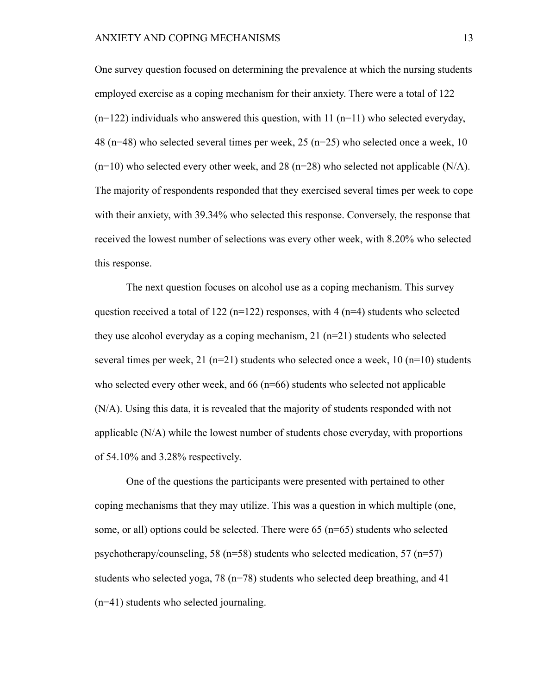One survey question focused on determining the prevalence at which the nursing students employed exercise as a coping mechanism for their anxiety. There were a total of 122  $(n=122)$  individuals who answered this question, with 11  $(n=11)$  who selected everyday, 48 (n=48) who selected several times per week, 25 (n=25) who selected once a week, 10  $(n=10)$  who selected every other week, and 28 ( $n=28$ ) who selected not applicable (N/A). The majority of respondents responded that they exercised several times per week to cope with their anxiety, with 39.34% who selected this response. Conversely, the response that received the lowest number of selections was every other week, with 8.20% who selected this response.

The next question focuses on alcohol use as a coping mechanism. This survey question received a total of 122 ( $n=122$ ) responses, with 4 ( $n=4$ ) students who selected they use alcohol everyday as a coping mechanism, 21 (n=21) students who selected several times per week,  $21$  (n=21) students who selected once a week,  $10$  (n=10) students who selected every other week, and  $66$  ( $n=66$ ) students who selected not applicable (N/A). Using this data, it is revealed that the majority of students responded with not applicable (N/A) while the lowest number of students chose everyday, with proportions of 54.10% and 3.28% respectively.

One of the questions the participants were presented with pertained to other coping mechanisms that they may utilize. This was a question in which multiple (one, some, or all) options could be selected. There were 65 (n=65) students who selected psychotherapy/counseling, 58 ( $n=58$ ) students who selected medication, 57 ( $n=57$ ) students who selected yoga, 78 (n=78) students who selected deep breathing, and 41 (n=41) students who selected journaling.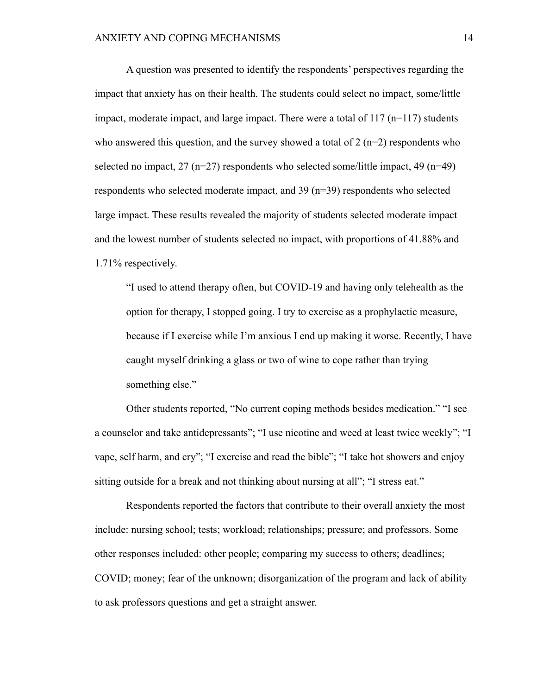A question was presented to identify the respondents' perspectives regarding the impact that anxiety has on their health. The students could select no impact, some/little impact, moderate impact, and large impact. There were a total of  $117$  (n=117) students who answered this question, and the survey showed a total of  $2$  (n=2) respondents who selected no impact,  $27 \text{ (n=27)}$  respondents who selected some/little impact,  $49 \text{ (n=49)}$ respondents who selected moderate impact, and 39 (n=39) respondents who selected large impact. These results revealed the majority of students selected moderate impact and the lowest number of students selected no impact, with proportions of 41.88% and 1.71% respectively.

"I used to attend therapy often, but COVID-19 and having only telehealth as the option for therapy, I stopped going. I try to exercise as a prophylactic measure, because if I exercise while I'm anxious I end up making it worse. Recently, I have caught myself drinking a glass or two of wine to cope rather than trying something else."

Other students reported, "No current coping methods besides medication." "I see a counselor and take antidepressants"; "I use nicotine and weed at least twice weekly"; "I vape, self harm, and cry"; "I exercise and read the bible"; "I take hot showers and enjoy sitting outside for a break and not thinking about nursing at all"; "I stress eat."

Respondents reported the factors that contribute to their overall anxiety the most include: nursing school; tests; workload; relationships; pressure; and professors. Some other responses included: other people; comparing my success to others; deadlines; COVID; money; fear of the unknown; disorganization of the program and lack of ability to ask professors questions and get a straight answer.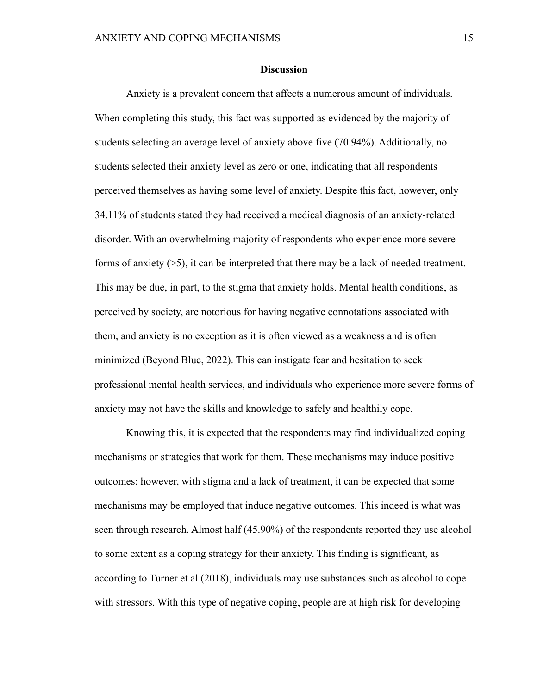### **Discussion**

Anxiety is a prevalent concern that affects a numerous amount of individuals. When completing this study, this fact was supported as evidenced by the majority of students selecting an average level of anxiety above five (70.94%). Additionally, no students selected their anxiety level as zero or one, indicating that all respondents perceived themselves as having some level of anxiety. Despite this fact, however, only 34.11% of students stated they had received a medical diagnosis of an anxiety-related disorder. With an overwhelming majority of respondents who experience more severe forms of anxiety (>5), it can be interpreted that there may be a lack of needed treatment. This may be due, in part, to the stigma that anxiety holds. Mental health conditions, as perceived by society, are notorious for having negative connotations associated with them, and anxiety is no exception as it is often viewed as a weakness and is often minimized (Beyond Blue, 2022). This can instigate fear and hesitation to seek professional mental health services, and individuals who experience more severe forms of anxiety may not have the skills and knowledge to safely and healthily cope.

Knowing this, it is expected that the respondents may find individualized coping mechanisms or strategies that work for them. These mechanisms may induce positive outcomes; however, with stigma and a lack of treatment, it can be expected that some mechanisms may be employed that induce negative outcomes. This indeed is what was seen through research. Almost half (45.90%) of the respondents reported they use alcohol to some extent as a coping strategy for their anxiety. This finding is significant, as according to Turner et al (2018), individuals may use substances such as alcohol to cope with stressors. With this type of negative coping, people are at high risk for developing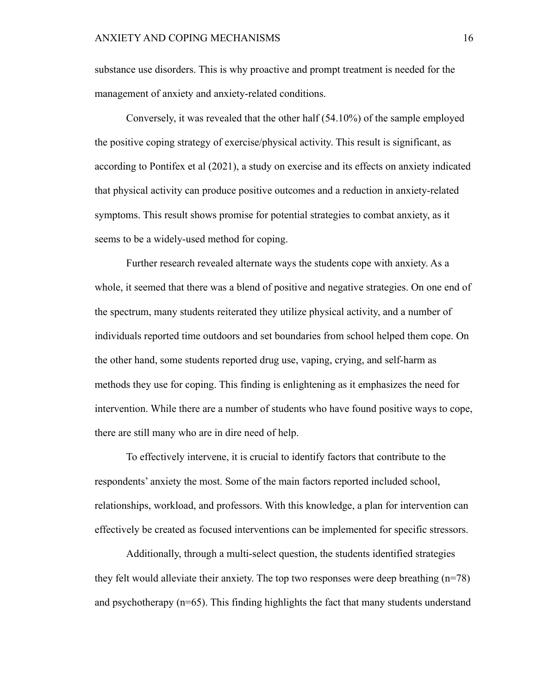substance use disorders. This is why proactive and prompt treatment is needed for the management of anxiety and anxiety-related conditions.

Conversely, it was revealed that the other half (54.10%) of the sample employed the positive coping strategy of exercise/physical activity. This result is significant, as according to Pontifex et al (2021), a study on exercise and its effects on anxiety indicated that physical activity can produce positive outcomes and a reduction in anxiety-related symptoms. This result shows promise for potential strategies to combat anxiety, as it seems to be a widely-used method for coping.

Further research revealed alternate ways the students cope with anxiety. As a whole, it seemed that there was a blend of positive and negative strategies. On one end of the spectrum, many students reiterated they utilize physical activity, and a number of individuals reported time outdoors and set boundaries from school helped them cope. On the other hand, some students reported drug use, vaping, crying, and self-harm as methods they use for coping. This finding is enlightening as it emphasizes the need for intervention. While there are a number of students who have found positive ways to cope, there are still many who are in dire need of help.

To effectively intervene, it is crucial to identify factors that contribute to the respondents' anxiety the most. Some of the main factors reported included school, relationships, workload, and professors. With this knowledge, a plan for intervention can effectively be created as focused interventions can be implemented for specific stressors.

Additionally, through a multi-select question, the students identified strategies they felt would alleviate their anxiety. The top two responses were deep breathing (n=78) and psychotherapy  $(n=65)$ . This finding highlights the fact that many students understand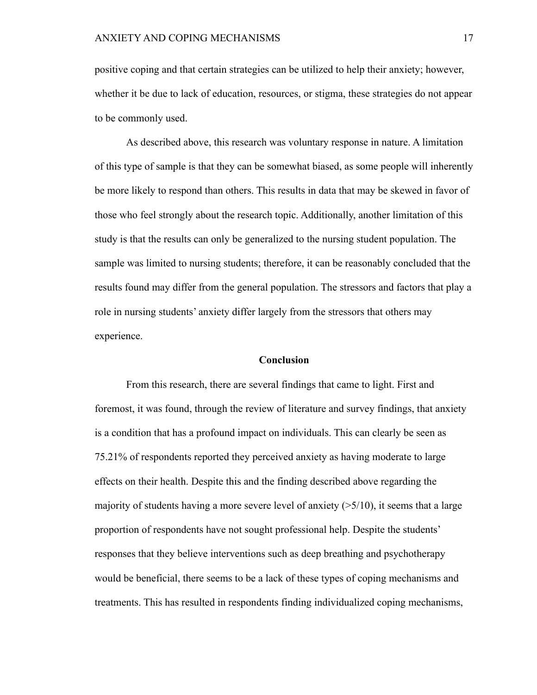positive coping and that certain strategies can be utilized to help their anxiety; however, whether it be due to lack of education, resources, or stigma, these strategies do not appear to be commonly used.

As described above, this research was voluntary response in nature. A limitation of this type of sample is that they can be somewhat biased, as some people will inherently be more likely to respond than others. This results in data that may be skewed in favor of those who feel strongly about the research topic. Additionally, another limitation of this study is that the results can only be generalized to the nursing student population. The sample was limited to nursing students; therefore, it can be reasonably concluded that the results found may differ from the general population. The stressors and factors that play a role in nursing students' anxiety differ largely from the stressors that others may experience.

#### **Conclusion**

From this research, there are several findings that came to light. First and foremost, it was found, through the review of literature and survey findings, that anxiety is a condition that has a profound impact on individuals. This can clearly be seen as 75.21% of respondents reported they perceived anxiety as having moderate to large effects on their health. Despite this and the finding described above regarding the majority of students having a more severe level of anxiety  $(25/10)$ , it seems that a large proportion of respondents have not sought professional help. Despite the students' responses that they believe interventions such as deep breathing and psychotherapy would be beneficial, there seems to be a lack of these types of coping mechanisms and treatments. This has resulted in respondents finding individualized coping mechanisms,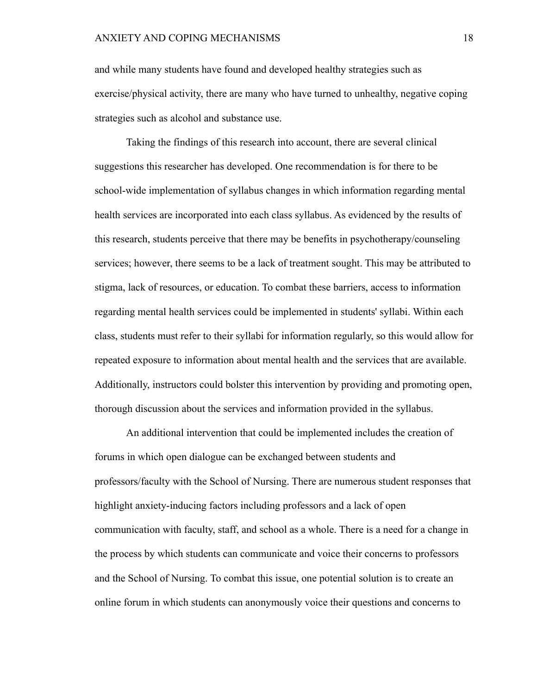and while many students have found and developed healthy strategies such as exercise/physical activity, there are many who have turned to unhealthy, negative coping strategies such as alcohol and substance use.

Taking the findings of this research into account, there are several clinical suggestions this researcher has developed. One recommendation is for there to be school-wide implementation of syllabus changes in which information regarding mental health services are incorporated into each class syllabus. As evidenced by the results of this research, students perceive that there may be benefits in psychotherapy/counseling services; however, there seems to be a lack of treatment sought. This may be attributed to stigma, lack of resources, or education. To combat these barriers, access to information regarding mental health services could be implemented in students' syllabi. Within each class, students must refer to their syllabi for information regularly, so this would allow for repeated exposure to information about mental health and the services that are available. Additionally, instructors could bolster this intervention by providing and promoting open, thorough discussion about the services and information provided in the syllabus.

An additional intervention that could be implemented includes the creation of forums in which open dialogue can be exchanged between students and professors/faculty with the School of Nursing. There are numerous student responses that highlight anxiety-inducing factors including professors and a lack of open communication with faculty, staff, and school as a whole. There is a need for a change in the process by which students can communicate and voice their concerns to professors and the School of Nursing. To combat this issue, one potential solution is to create an online forum in which students can anonymously voice their questions and concerns to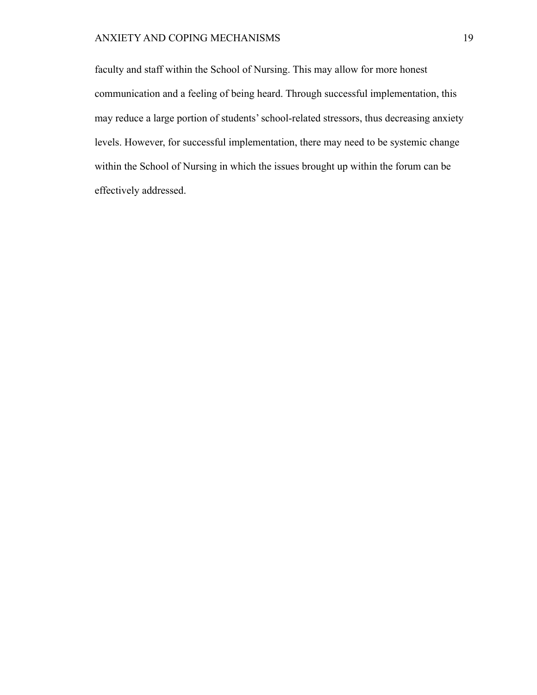# ANXIETY AND COPING MECHANISMS 19

faculty and staff within the School of Nursing. This may allow for more honest communication and a feeling of being heard. Through successful implementation, this may reduce a large portion of students' school-related stressors, thus decreasing anxiety levels. However, for successful implementation, there may need to be systemic change within the School of Nursing in which the issues brought up within the forum can be effectively addressed.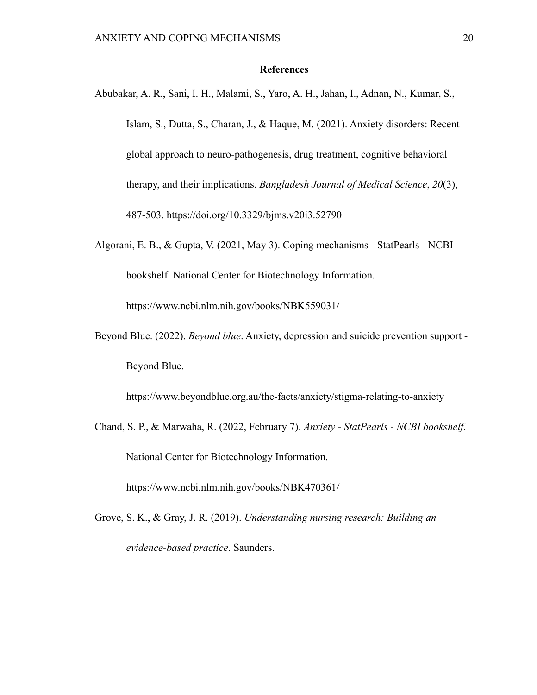## **References**

- Abubakar, A. R., Sani, I. H., Malami, S., Yaro, A. H., Jahan, I., Adnan, N., Kumar, S., Islam, S., Dutta, S., Charan, J., & Haque, M. (2021). Anxiety disorders: Recent global approach to neuro-pathogenesis, drug treatment, cognitive behavioral therapy, and their implications. *Bangladesh Journal of Medical Science*, *20*(3), 487-503. <https://doi.org/10.3329/bjms.v20i3.52790>
- Algorani, E. B., & Gupta, V. (2021, May 3). Coping mechanisms StatPearls NCBI bookshelf. National Center for Biotechnology Information.

https://www.ncbi.nlm.nih.gov/books/NBK559031/

Beyond Blue. (2022). *Beyond blue*. Anxiety, depression and suicide prevention support - Beyond Blue.

<https://www.beyondblue.org.au/the-facts/anxiety/stigma-relating-to-anxiety>

Chand, S. P., & Marwaha, R. (2022, February 7). *Anxiety - StatPearls - NCBI bookshelf*. National Center for Biotechnology Information.

<https://www.ncbi.nlm.nih.gov/books/NBK470361/>

Grove, S. K., & Gray, J. R. (2019). *Understanding nursing research: Building an evidence-based practice*. Saunders.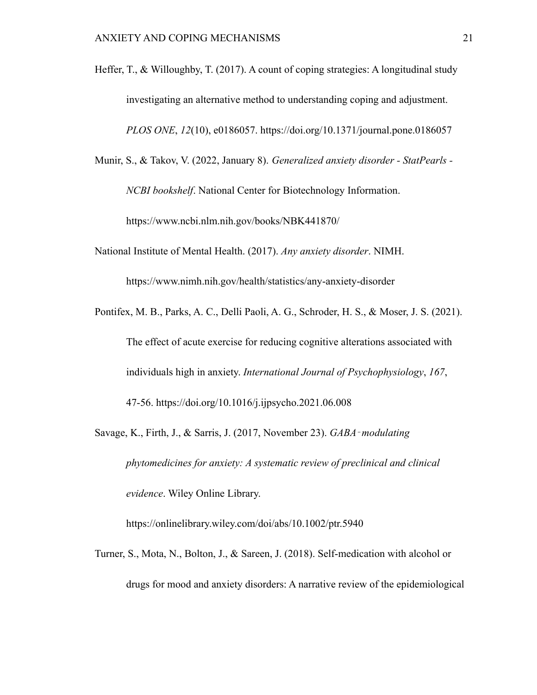- Heffer, T., & Willoughby, T. (2017). A count of coping strategies: A longitudinal study investigating an alternative method to understanding coping and adjustment. *PLOS ONE*, *12*(10), e0186057. <https://doi.org/10.1371/journal.pone.0186057>
- Munir, S., & Takov, V. (2022, January 8). *Generalized anxiety disorder StatPearls -*

*NCBI bookshelf*. National Center for Biotechnology Information.

<https://www.ncbi.nlm.nih.gov/books/NBK441870/>

National Institute of Mental Health. (2017). *Any anxiety disorder*. NIMH.

<https://www.nimh.nih.gov/health/statistics/any-anxiety-disorder>

- Pontifex, M. B., Parks, A. C., Delli Paoli, A. G., Schroder, H. S., & Moser, J. S. (2021). The effect of acute exercise for reducing cognitive alterations associated with individuals high in anxiety. *International Journal of Psychophysiology*, *167*, 47-56. <https://doi.org/10.1016/j.ijpsycho.2021.06.008>
- Savage, K., Firth, J., & Sarris, J. (2017, November 23). *GABA*‐*modulating phytomedicines for anxiety: A systematic review of preclinical and clinical evidence*. Wiley Online Library.

<https://onlinelibrary.wiley.com/doi/abs/10.1002/ptr.5940>

Turner, S., Mota, N., Bolton, J., & Sareen, J. (2018). Self-medication with alcohol or drugs for mood and anxiety disorders: A narrative review of the epidemiological